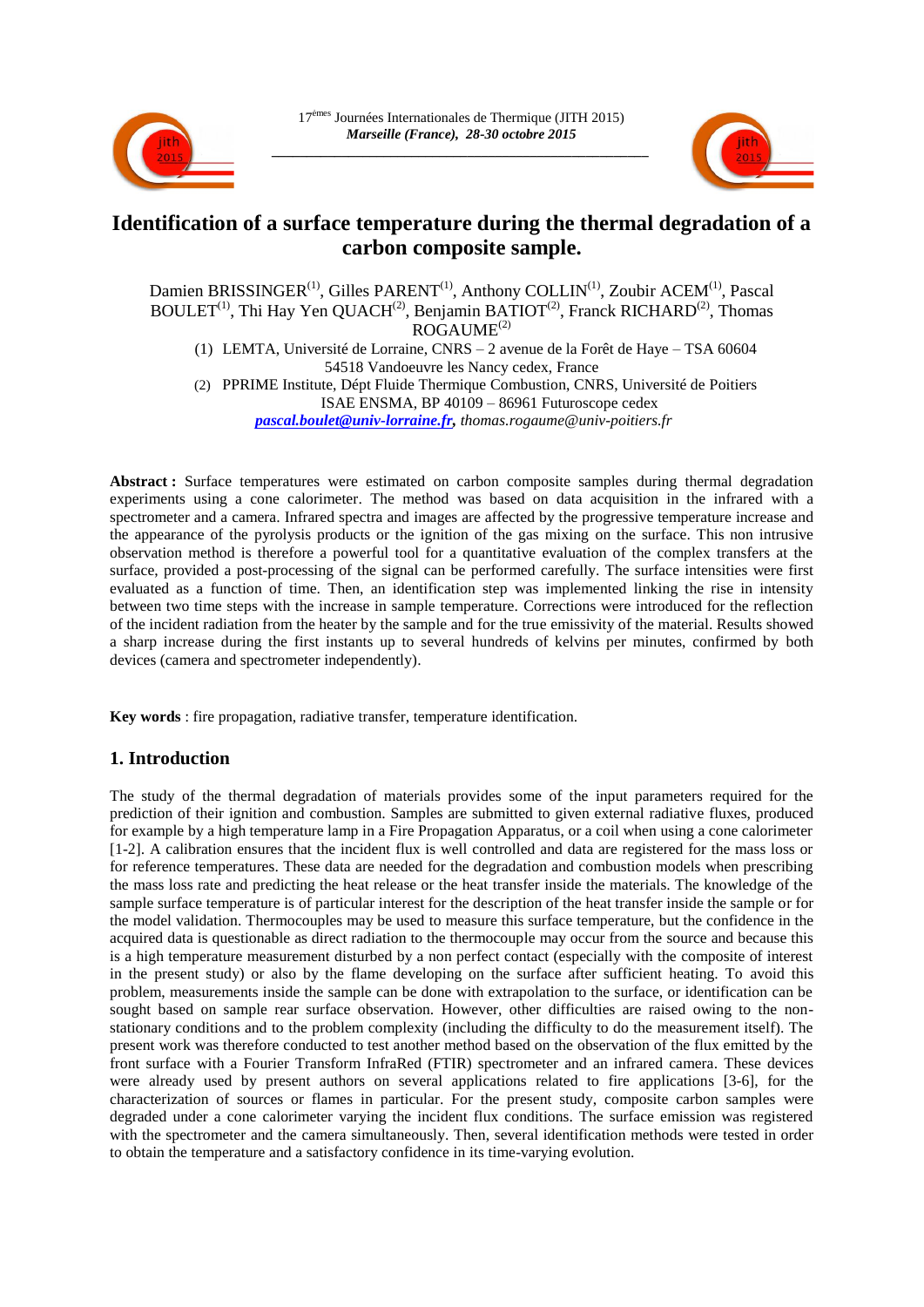



# **Identification of a surface temperature during the thermal degradation of a carbon composite sample.**

Damien BRISSINGER<sup>(1)</sup>, Gilles PARENT<sup>(1)</sup>, Anthony COLLIN<sup>(1)</sup>, Zoubir ACEM<sup>(1)</sup>, Pascal BOULET<sup>(1)</sup>, Thi Hay Yen QUACH<sup>(2)</sup>, Benjamin BATIOT<sup>(2)</sup>, Franck RICHARD<sup>(2)</sup>, Thomas  $ROGAUME^{(2)}$ (1) LEMTA, Université de Lorraine, CNRS – 2 avenue de la Forêt de Haye – TSA 60604 54518 Vandoeuvre les Nancy cedex, France (2) PPRIME Institute, Dépt Fluide Thermique Combustion, CNRS, Université de Poitiers ISAE ENSMA, BP 40109 – 86961 Futuroscope cedex *[pascal.boulet@univ-lorraine.fr,](mailto:pascal.boulet@univ-lorraine.fr) thomas.rogaume@univ-poitiers.fr*

**Abstract :** Surface temperatures were estimated on carbon composite samples during thermal degradation experiments using a cone calorimeter. The method was based on data acquisition in the infrared with a spectrometer and a camera. Infrared spectra and images are affected by the progressive temperature increase and the appearance of the pyrolysis products or the ignition of the gas mixing on the surface. This non intrusive observation method is therefore a powerful tool for a quantitative evaluation of the complex transfers at the surface, provided a post-processing of the signal can be performed carefully. The surface intensities were first evaluated as a function of time. Then, an identification step was implemented linking the rise in intensity between two time steps with the increase in sample temperature. Corrections were introduced for the reflection of the incident radiation from the heater by the sample and for the true emissivity of the material. Results showed a sharp increase during the first instants up to several hundreds of kelvins per minutes, confirmed by both devices (camera and spectrometer independently).

**Key words** : fire propagation, radiative transfer, temperature identification.

# **1. Introduction**

The study of the thermal degradation of materials provides some of the input parameters required for the prediction of their ignition and combustion. Samples are submitted to given external radiative fluxes, produced for example by a high temperature lamp in a Fire Propagation Apparatus, or a coil when using a cone calorimeter [1-2]. A calibration ensures that the incident flux is well controlled and data are registered for the mass loss or for reference temperatures. These data are needed for the degradation and combustion models when prescribing the mass loss rate and predicting the heat release or the heat transfer inside the materials. The knowledge of the sample surface temperature is of particular interest for the description of the heat transfer inside the sample or for the model validation. Thermocouples may be used to measure this surface temperature, but the confidence in the acquired data is questionable as direct radiation to the thermocouple may occur from the source and because this is a high temperature measurement disturbed by a non perfect contact (especially with the composite of interest in the present study) or also by the flame developing on the surface after sufficient heating. To avoid this problem, measurements inside the sample can be done with extrapolation to the surface, or identification can be sought based on sample rear surface observation. However, other difficulties are raised owing to the nonstationary conditions and to the problem complexity (including the difficulty to do the measurement itself). The present work was therefore conducted to test another method based on the observation of the flux emitted by the front surface with a Fourier Transform InfraRed (FTIR) spectrometer and an infrared camera. These devices were already used by present authors on several applications related to fire applications [3-6], for the characterization of sources or flames in particular. For the present study, composite carbon samples were degraded under a cone calorimeter varying the incident flux conditions. The surface emission was registered with the spectrometer and the camera simultaneously. Then, several identification methods were tested in order to obtain the temperature and a satisfactory confidence in its time-varying evolution.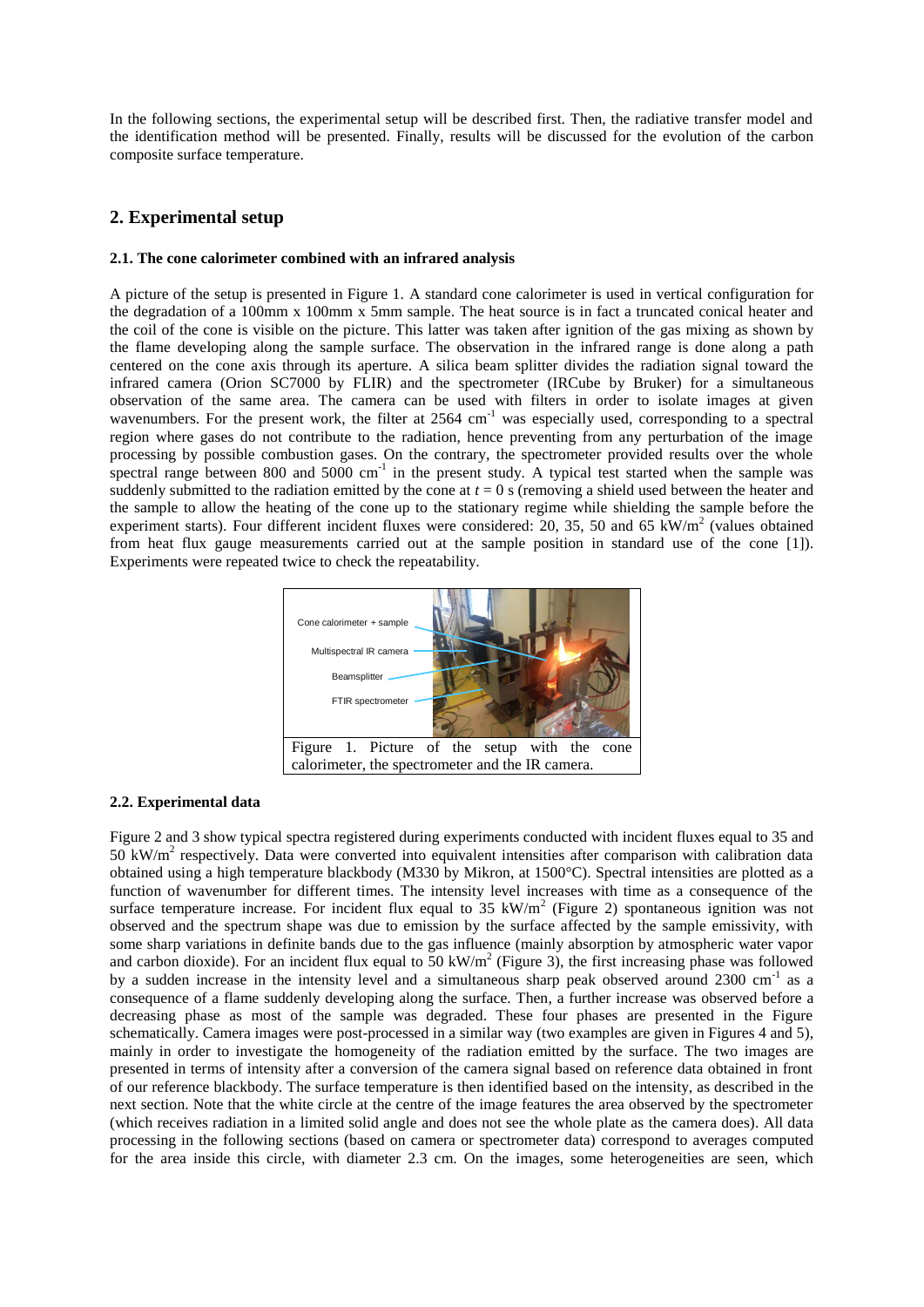In the following sections, the experimental setup will be described first. Then, the radiative transfer model and the identification method will be presented. Finally, results will be discussed for the evolution of the carbon composite surface temperature.

## **2. Experimental setup**

#### **2.1. The cone calorimeter combined with an infrared analysis**

A picture of the setup is presented in Figure 1. A standard cone calorimeter is used in vertical configuration for the degradation of a 100mm x 100mm x 5mm sample. The heat source is in fact a truncated conical heater and the coil of the cone is visible on the picture. This latter was taken after ignition of the gas mixing as shown by the flame developing along the sample surface. The observation in the infrared range is done along a path centered on the cone axis through its aperture. A silica beam splitter divides the radiation signal toward the infrared camera (Orion SC7000 by FLIR) and the spectrometer (IRCube by Bruker) for a simultaneous observation of the same area. The camera can be used with filters in order to isolate images at given wavenumbers. For the present work, the filter at 2564 cm<sup>-1</sup> was especially used, corresponding to a spectral region where gases do not contribute to the radiation, hence preventing from any perturbation of the image processing by possible combustion gases. On the contrary, the spectrometer provided results over the whole spectral range between 800 and 5000  $cm^{-1}$  in the present study. A typical test started when the sample was suddenly submitted to the radiation emitted by the cone at  $t = 0$  s (removing a shield used between the heater and the sample to allow the heating of the cone up to the stationary regime while shielding the sample before the experiment starts). Four different incident fluxes were considered: 20, 35, 50 and 65  $\text{kW/m}^2$  (values obtained from heat flux gauge measurements carried out at the sample position in standard use of the cone [1]). Experiments were repeated twice to check the repeatability.



#### **2.2. Experimental data**

Figure 2 and 3 show typical spectra registered during experiments conducted with incident fluxes equal to 35 and 50 kW/m<sup>2</sup> respectively. Data were converted into equivalent intensities after comparison with calibration data obtained using a high temperature blackbody (M330 by Mikron, at 1500°C). Spectral intensities are plotted as a function of wavenumber for different times. The intensity level increases with time as a consequence of the surface temperature increase. For incident flux equal to  $35 \text{ kW/m}^2$  (Figure 2) spontaneous ignition was not observed and the spectrum shape was due to emission by the surface affected by the sample emissivity, with some sharp variations in definite bands due to the gas influence (mainly absorption by atmospheric water vapor and carbon dioxide). For an incident flux equal to  $50 \text{ kW/m}^2$  (Figure 3), the first increasing phase was followed by a sudden increase in the intensity level and a simultaneous sharp peak observed around 2300 cm<sup>-1</sup> as a consequence of a flame suddenly developing along the surface. Then, a further increase was observed before a decreasing phase as most of the sample was degraded. These four phases are presented in the Figure schematically. Camera images were post-processed in a similar way (two examples are given in Figures 4 and 5), mainly in order to investigate the homogeneity of the radiation emitted by the surface. The two images are presented in terms of intensity after a conversion of the camera signal based on reference data obtained in front of our reference blackbody. The surface temperature is then identified based on the intensity, as described in the next section. Note that the white circle at the centre of the image features the area observed by the spectrometer (which receives radiation in a limited solid angle and does not see the whole plate as the camera does). All data processing in the following sections (based on camera or spectrometer data) correspond to averages computed for the area inside this circle, with diameter 2.3 cm. On the images, some heterogeneities are seen, which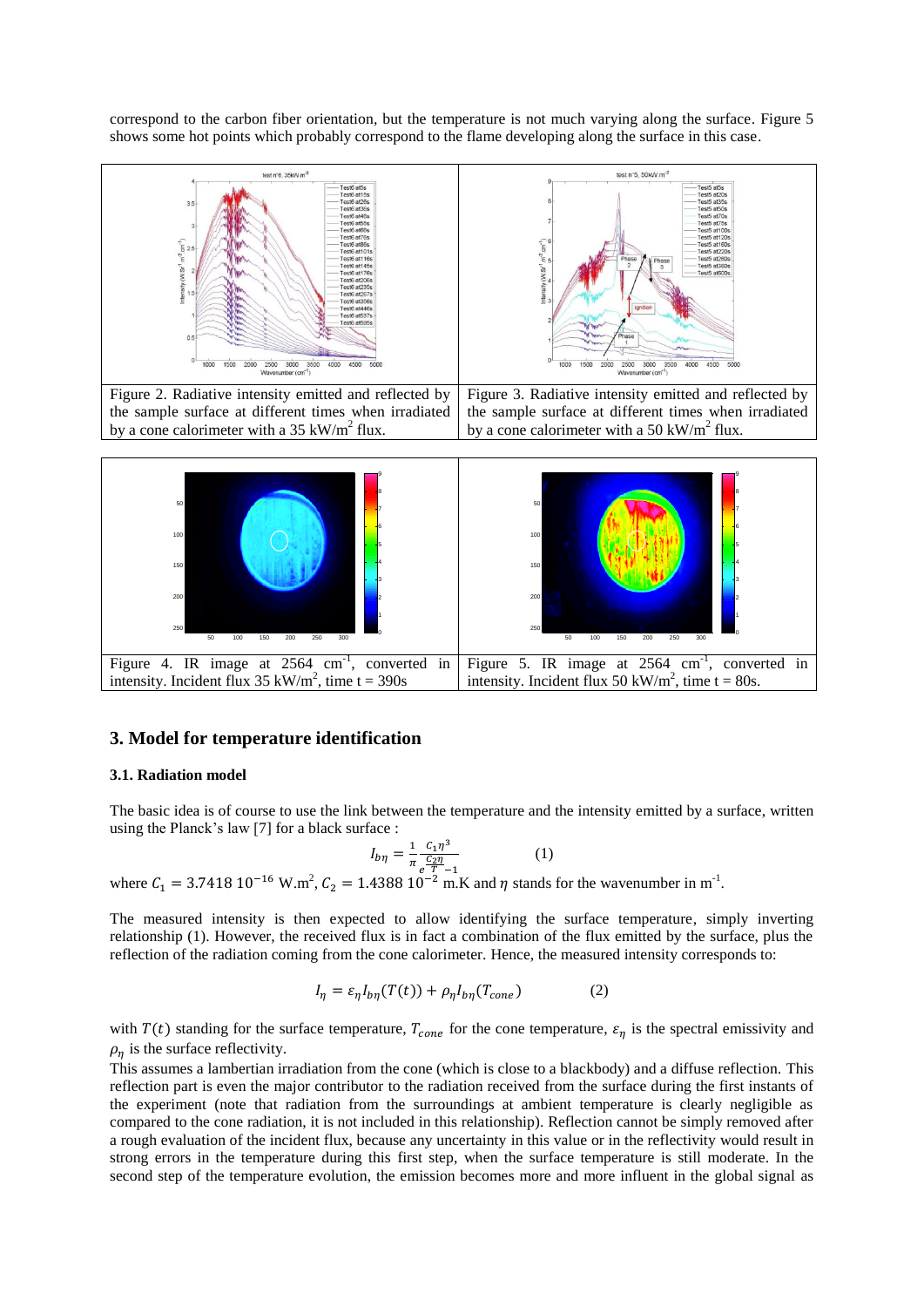correspond to the carbon fiber orientation, but the temperature is not much varying along the surface. Figure 5 shows some hot points which probably correspond to the flame developing along the surface in this case.





## **3. Model for temperature identification**

#### **3.1. Radiation model**

The basic idea is of course to use the link between the temperature and the intensity emitted by a surface, written using the Planck's law [7] for a black surface :

$$
I_{b\eta} = \frac{1}{\pi} \frac{c_1 \eta^3}{\frac{c_2 \eta}{T - 1}}
$$
 (1)

where  $C_1 = 3.7418 \, 10^{-16} \, \text{W.m}^2$ ,  $C_2 = 1.4388 \, 10^{-2} \, \text{m.K}$  and  $\eta$  stands for the wavenumber in m<sup>-1</sup>.

The measured intensity is then expected to allow identifying the surface temperature, simply inverting relationship (1). However, the received flux is in fact a combination of the flux emitted by the surface, plus the reflection of the radiation coming from the cone calorimeter. Hence, the measured intensity corresponds to:

$$
I_{\eta} = \varepsilon_{\eta} I_{b\eta}(T(t)) + \rho_{\eta} I_{b\eta}(T_{cone})
$$
 (2)

with  $T(t)$  standing for the surface temperature,  $T_{cone}$  for the cone temperature,  $\varepsilon_n$  is the spectral emissivity and  $\rho_n$  is the surface reflectivity.

This assumes a lambertian irradiation from the cone (which is close to a blackbody) and a diffuse reflection. This reflection part is even the major contributor to the radiation received from the surface during the first instants of the experiment (note that radiation from the surroundings at ambient temperature is clearly negligible as compared to the cone radiation, it is not included in this relationship). Reflection cannot be simply removed after a rough evaluation of the incident flux, because any uncertainty in this value or in the reflectivity would result in strong errors in the temperature during this first step, when the surface temperature is still moderate. In the second step of the temperature evolution, the emission becomes more and more influent in the global signal as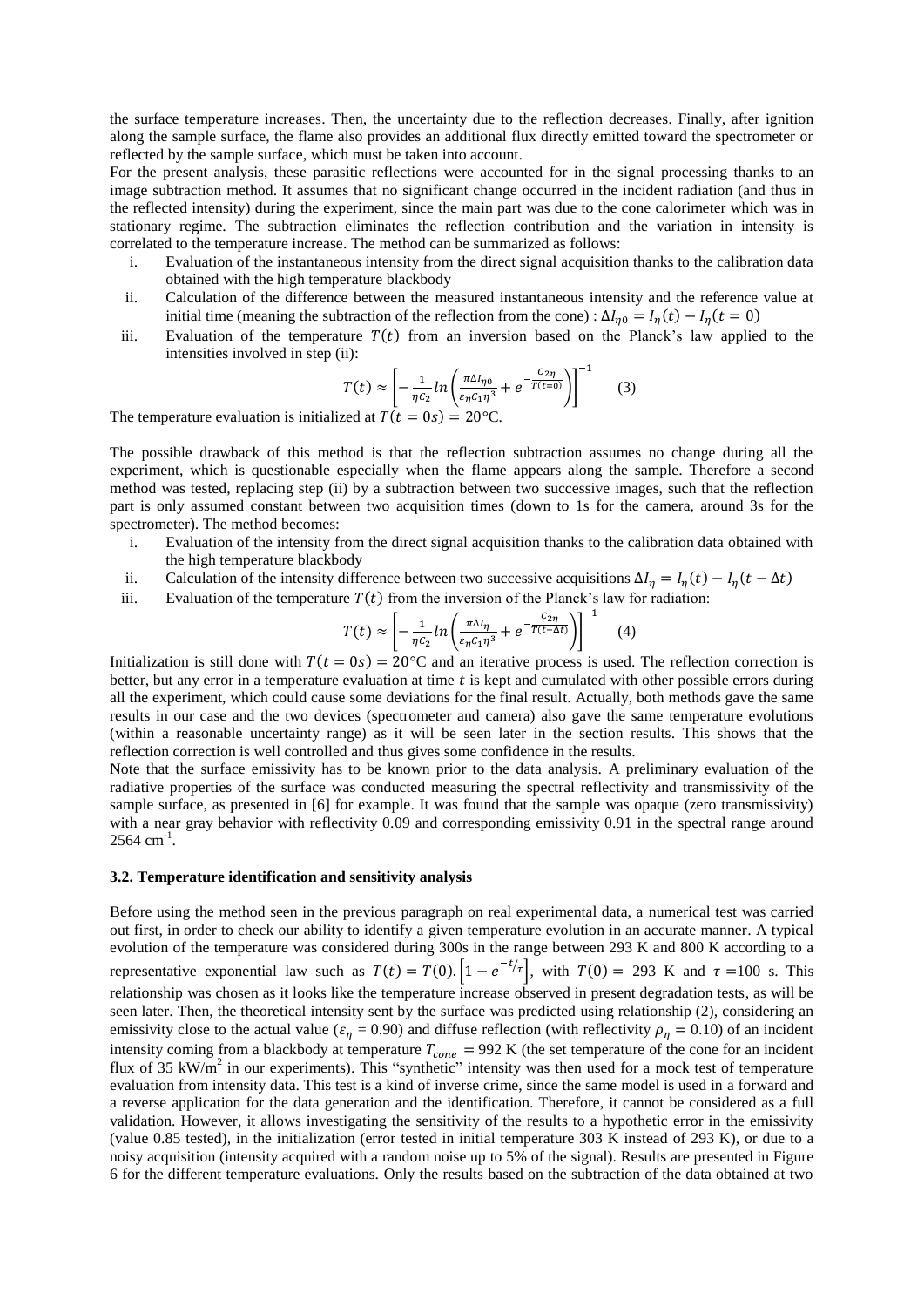the surface temperature increases. Then, the uncertainty due to the reflection decreases. Finally, after ignition along the sample surface, the flame also provides an additional flux directly emitted toward the spectrometer or reflected by the sample surface, which must be taken into account.

For the present analysis, these parasitic reflections were accounted for in the signal processing thanks to an image subtraction method. It assumes that no significant change occurred in the incident radiation (and thus in the reflected intensity) during the experiment, since the main part was due to the cone calorimeter which was in stationary regime. The subtraction eliminates the reflection contribution and the variation in intensity is correlated to the temperature increase. The method can be summarized as follows:

- i. Evaluation of the instantaneous intensity from the direct signal acquisition thanks to the calibration data obtained with the high temperature blackbody
- ii. Calculation of the difference between the measured instantaneous intensity and the reference value at initial time (meaning the subtraction of the reflection from the cone) :  $\Delta l_{\eta 0} = l_{\eta}(t) - l_{\eta}(t = 0)$
- iii. Evaluation of the temperature  $T(t)$  from an inversion based on the Planck's law applied to the intensities involved in step (ii):

$$
T(t) \approx \left[ -\frac{1}{\eta c_2} \ln \left( \frac{\pi \Delta l_{\eta 0}}{\varepsilon_\eta c_1 \eta^3} + e^{-\frac{C_{2\eta}}{T(t=0)}} \right) \right]^{-1} \tag{3}
$$

The temperature evaluation is initialized at  $T(t = 0s) = 20$ °C.

The possible drawback of this method is that the reflection subtraction assumes no change during all the experiment, which is questionable especially when the flame appears along the sample. Therefore a second method was tested, replacing step (ii) by a subtraction between two successive images, such that the reflection part is only assumed constant between two acquisition times (down to 1s for the camera, around 3s for the spectrometer). The method becomes:

- i. Evaluation of the intensity from the direct signal acquisition thanks to the calibration data obtained with the high temperature blackbody
- ii. Calculation of the intensity difference between two successive acquisitions  $\Delta I_{\eta} = I_{\eta}(t) I_{\eta}(t \Delta t)$
- iii. Evaluation of the temperature  $T(t)$  from the inversion of the Planck's law for radiation:

$$
T(t) \approx \left[ -\frac{1}{\eta c_2} \ln \left( \frac{\pi \Delta l \eta}{\varepsilon_\eta c_1 \eta^3} + e^{-\frac{C_2 \eta}{T(t - \Delta t)}} \right) \right]^{-1} \tag{4}
$$

Initialization is still done with  $T(t = 0s) = 20^{\circ}$ C and an iterative process is used. The reflection correction is better, but any error in a temperature evaluation at time t is kept and cumulated with other possible errors during all the experiment, which could cause some deviations for the final result. Actually, both methods gave the same results in our case and the two devices (spectrometer and camera) also gave the same temperature evolutions (within a reasonable uncertainty range) as it will be seen later in the section results. This shows that the reflection correction is well controlled and thus gives some confidence in the results.

Note that the surface emissivity has to be known prior to the data analysis. A preliminary evaluation of the radiative properties of the surface was conducted measuring the spectral reflectivity and transmissivity of the sample surface, as presented in [6] for example. It was found that the sample was opaque (zero transmissivity) with a near gray behavior with reflectivity 0.09 and corresponding emissivity 0.91 in the spectral range around  $2564$  cm<sup>-1</sup>.

#### **3.2. Temperature identification and sensitivity analysis**

Before using the method seen in the previous paragraph on real experimental data, a numerical test was carried out first, in order to check our ability to identify a given temperature evolution in an accurate manner. A typical evolution of the temperature was considered during 300s in the range between 293 K and 800 K according to a representative exponential law such as  $T(t) = T(0)$ .  $\left[1 - e^{-t/\tau}\right]$ , with  $T(0) = 293$  K and  $\tau = 100$  s. This relationship was chosen as it looks like the temperature increase observed in present degradation tests, as will be seen later. Then, the theoretical intensity sent by the surface was predicted using relationship (2), considering an emissivity close to the actual value ( $\varepsilon_n = 0.90$ ) and diffuse reflection (with reflectivity  $\rho_n = 0.10$ ) of an incident intensity coming from a blackbody at temperature  $T_{cone}$  = 992 K (the set temperature of the cone for an incident flux of 35  $\text{kW/m}^2$  in our experiments). This "synthetic" intensity was then used for a mock test of temperature evaluation from intensity data. This test is a kind of inverse crime, since the same model is used in a forward and a reverse application for the data generation and the identification. Therefore, it cannot be considered as a full validation. However, it allows investigating the sensitivity of the results to a hypothetic error in the emissivity (value 0.85 tested), in the initialization (error tested in initial temperature 303 K instead of 293 K), or due to a noisy acquisition (intensity acquired with a random noise up to 5% of the signal). Results are presented in Figure 6 for the different temperature evaluations. Only the results based on the subtraction of the data obtained at two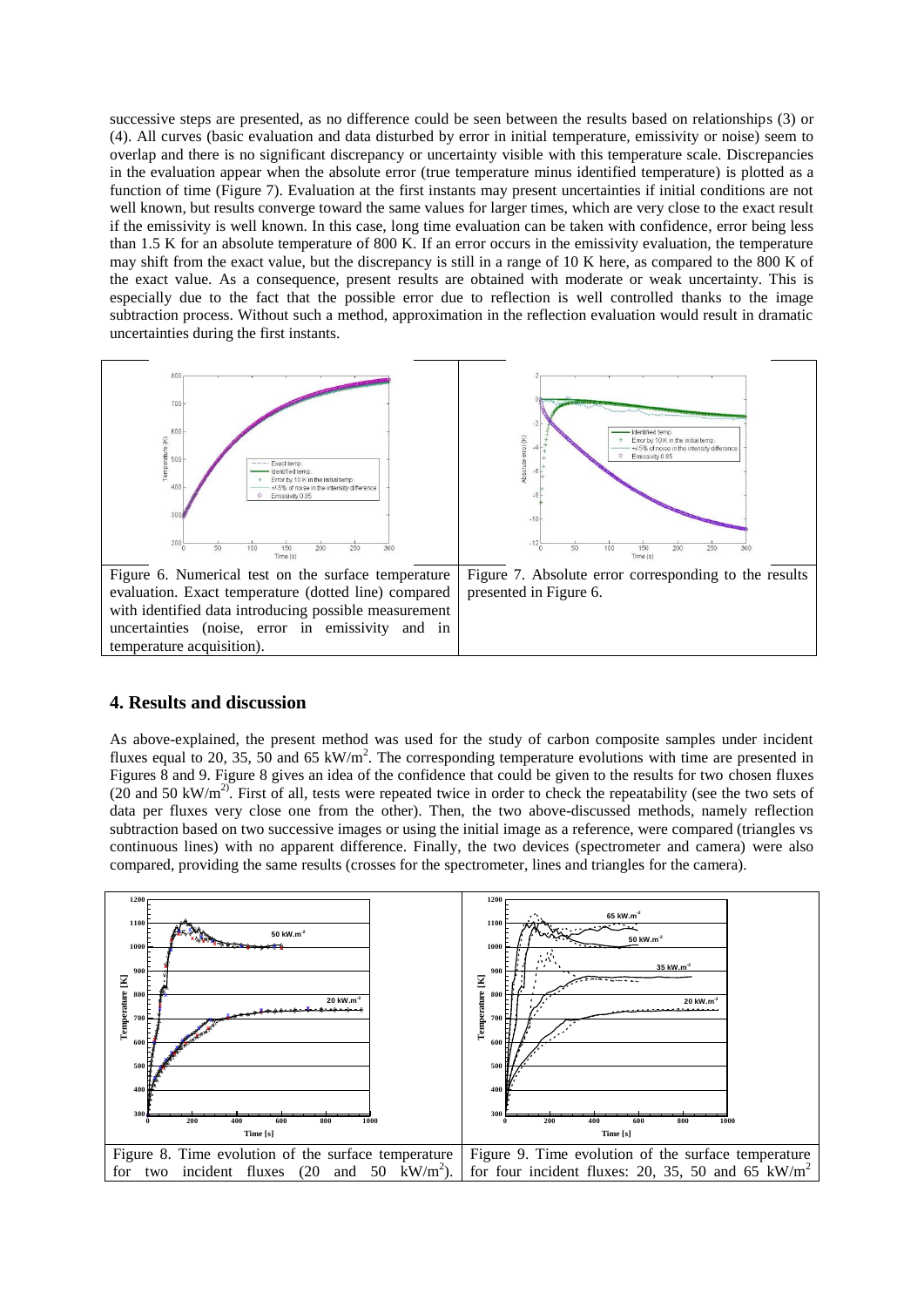successive steps are presented, as no difference could be seen between the results based on relationships (3) or (4). All curves (basic evaluation and data disturbed by error in initial temperature, emissivity or noise) seem to overlap and there is no significant discrepancy or uncertainty visible with this temperature scale. Discrepancies in the evaluation appear when the absolute error (true temperature minus identified temperature) is plotted as a function of time (Figure 7). Evaluation at the first instants may present uncertainties if initial conditions are not well known, but results converge toward the same values for larger times, which are very close to the exact result if the emissivity is well known. In this case, long time evaluation can be taken with confidence, error being less than 1.5 K for an absolute temperature of 800 K. If an error occurs in the emissivity evaluation, the temperature may shift from the exact value, but the discrepancy is still in a range of 10 K here, as compared to the 800 K of the exact value. As a consequence, present results are obtained with moderate or weak uncertainty. This is especially due to the fact that the possible error due to reflection is well controlled thanks to the image subtraction process. Without such a method, approximation in the reflection evaluation would result in dramatic uncertainties during the first instants.



## **4. Results and discussion**

As above-explained, the present method was used for the study of carbon composite samples under incident fluxes equal to 20, 35, 50 and 65 kW/m<sup>2</sup>. The corresponding temperature evolutions with time are presented in Figures 8 and 9. Figure 8 gives an idea of the confidence that could be given to the results for two chosen fluxes (20 and 50 kW/m<sup>2)</sup>. First of all, tests were repeated twice in order to check the repeatability (see the two sets of data per fluxes very close one from the other). Then, the two above-discussed methods, namely reflection subtraction based on two successive images or using the initial image as a reference, were compared (triangles vs continuous lines) with no apparent difference. Finally, the two devices (spectrometer and camera) were also compared, providing the same results (crosses for the spectrometer, lines and triangles for the camera).